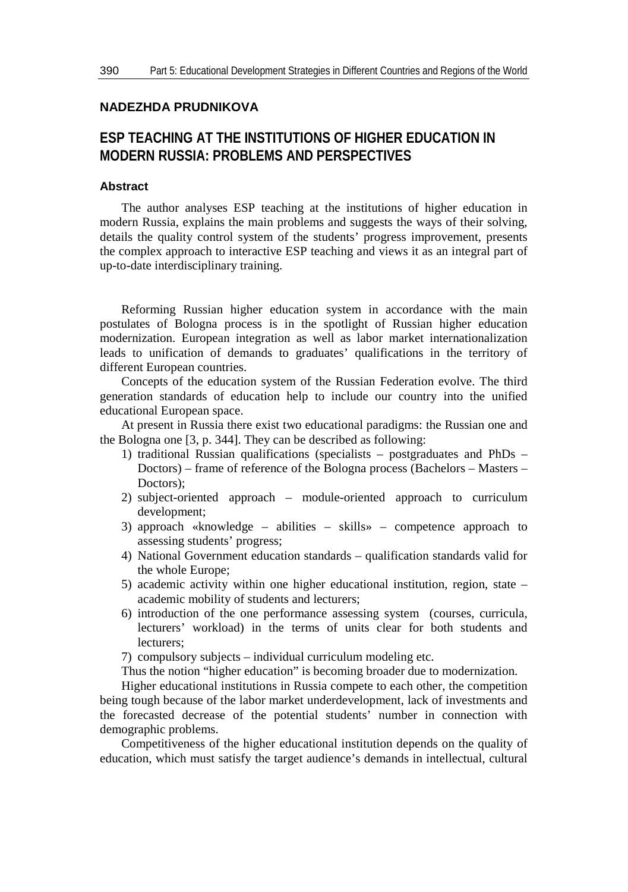## **NADEZHDA PRUDNIKOVA**

## **ESP TEACHING AT THE INSTITUTIONS OF HIGHER EDUCATION IN MODERN RUSSIA: PROBLEMS AND PERSPECTIVES**

## **Abstract**

The author analyses ESP teaching at the institutions of higher education in modern Russia, explains the main problems and suggests the ways of their solving, details the quality control system of the students' progress improvement, presents the complex approach to interactive ESP teaching and views it as an integral part of up-to-date interdisciplinary training.

Reforming Russian higher education system in accordance with the main postulates of Bologna process is in the spotlight of Russian higher education modernization. European integration as well as labor market internationalization leads to unification of demands to graduates' qualifications in the territory of different European countries.

Concepts of the education system of the Russian Federation evolve. The third generation standards of education help to include our country into the unified educational European space.

At present in Russia there exist two educational paradigms: the Russian one and the Bologna one [3, p. 344]. They can be described as following:

- 1) traditional Russian qualifications (specialists postgraduates and PhDs Doctors) – frame of reference of the Bologna process (Bachelors – Masters – Doctors);
- 2) subject-oriented approach module-oriented approach to curriculum development;
- 3) approach «knowledge abilities skills» competence approach to assessing students' progress;
- 4) National Government education standards qualification standards valid for the whole Europe;
- 5) academic activity within one higher educational institution, region, state academic mobility of students and lecturers;
- 6) introduction of the one performance assessing system (courses, curricula, lecturers' workload) in the terms of units clear for both students and lecturers;
- 7) compulsory subjects individual curriculum modeling etc.

Thus the notion "higher education" is becoming broader due to modernization.

Higher educational institutions in Russia compete to each other, the competition being tough because of the labor market underdevelopment, lack of investments and the forecasted decrease of the potential students' number in connection with demographic problems.

Competitiveness of the higher educational institution depends on the quality of education, which must satisfy the target audience's demands in intellectual, cultural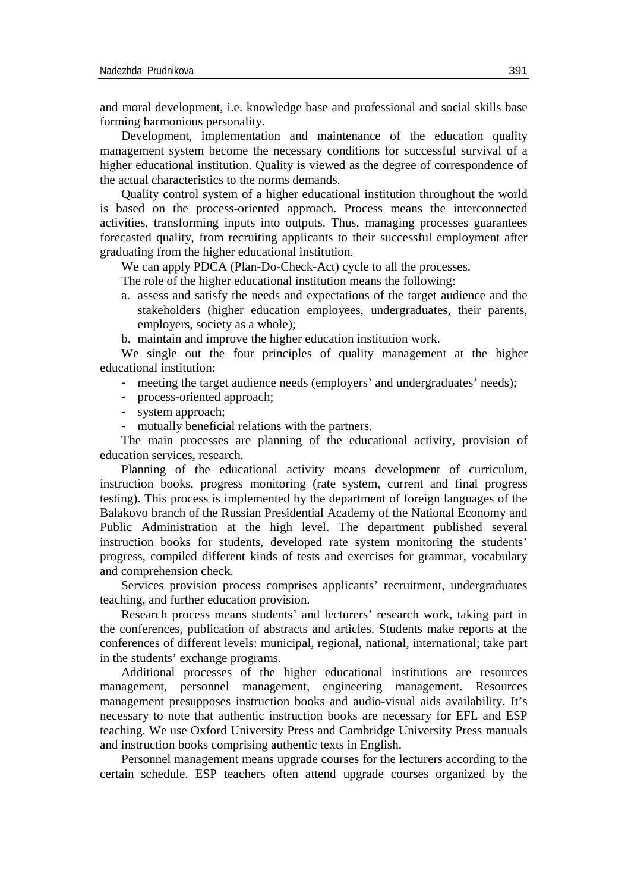and moral development, i.e. knowledge base and professional and social skills base forming harmonious personality.

Development, implementation and maintenance of the education quality management system become the necessary conditions for successful survival of a higher educational institution. Quality is viewed as the degree of correspondence of the actual characteristics to the norms demands.

Quality control system of a higher educational institution throughout the world is based on the process-oriented approach. Process means the interconnected activities, transforming inputs into outputs. Thus, managing processes guarantees forecasted quality, from recruiting applicants to their successful employment after graduating from the higher educational institution.

We can apply PDCA (Plan-Do-Check-Act) cycle to all the processes.

The role of the higher educational institution means the following:

a. assess and satisfy the needs and expectations of the target audience and the stakeholders (higher education employees, undergraduates, their parents, employers, society as a whole);

b. maintain and improve the higher education institution work.

We single out the four principles of quality management at the higher educational institution:

- meeting the target audience needs (employers' and undergraduates' needs);
- process-oriented approach;
- system approach;
- mutually beneficial relations with the partners.

The main processes are planning of the educational activity, provision of education services, research.

Planning of the educational activity means development of curriculum, instruction books, progress monitoring (rate system, current and final progress testing). This process is implemented by the department of foreign languages of the Balakovo branch of the Russian Presidential Academy of the National Economy and Public Administration at the high level. The department published several instruction books for students, developed rate system monitoring the students' progress, compiled different kinds of tests and exercises for grammar, vocabulary and comprehension check.

Services provision process comprises applicants' recruitment, undergraduates teaching, and further education provision.

Research process means students' and lecturers' research work, taking part in the conferences, publication of abstracts and articles. Students make reports at the conferences of different levels: municipal, regional, national, international; take part in the students' exchange programs.

Additional processes of the higher educational institutions are resources management, personnel management, engineering management. Resources management presupposes instruction books and audio-visual aids availability. It's necessary to note that authentic instruction books are necessary for EFL and ESP teaching. We use Oxford University Press and Cambridge University Press manuals and instruction books comprising authentic texts in English.

Personnel management means upgrade courses for the lecturers according to the certain schedule. ESP teachers often attend upgrade courses organized by the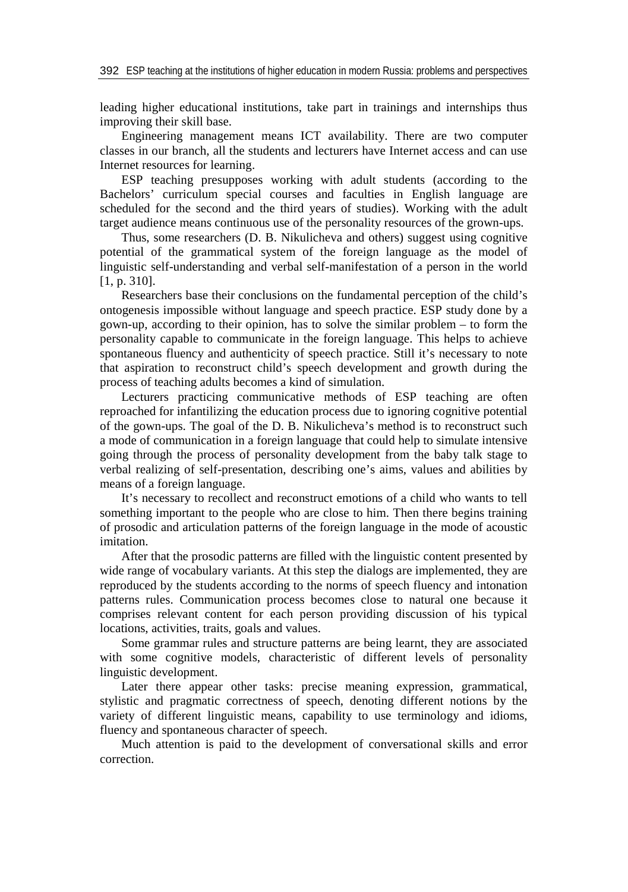leading higher educational institutions, take part in trainings and internships thus improving their skill base.

Engineering management means ICT availability. There are two computer classes in our branch, all the students and lecturers have Internet access and can use Internet resources for learning.

ESP teaching presupposes working with adult students (according to the Bachelors' curriculum special courses and faculties in English language are scheduled for the second and the third years of studies). Working with the adult target audience means continuous use of the personality resources of the grown-ups.

Thus, some researchers (D. B. Nikulicheva and others) suggest using cognitive potential of the grammatical system of the foreign language as the model of linguistic self-understanding and verbal self-manifestation of a person in the world [1, p. 310].

Researchers base their conclusions on the fundamental perception of the child's ontogenesis impossible without language and speech practice. ESP study done by a gown-up, according to their opinion, has to solve the similar problem – to form the personality capable to communicate in the foreign language. This helps to achieve spontaneous fluency and authenticity of speech practice. Still it's necessary to note that aspiration to reconstruct child's speech development and growth during the process of teaching adults becomes a kind of simulation.

Lecturers practicing communicative methods of ESP teaching are often reproached for infantilizing the education process due to ignoring cognitive potential of the gown-ups. The goal of the D. B. Nikulicheva's method is to reconstruct such a mode of communication in a foreign language that could help to simulate intensive going through the process of personality development from the baby talk stage to verbal realizing of self-presentation, describing one's aims, values and abilities by means of a foreign language.

It's necessary to recollect and reconstruct emotions of a child who wants to tell something important to the people who are close to him. Then there begins training of prosodic and articulation patterns of the foreign language in the mode of acoustic imitation.

After that the prosodic patterns are filled with the linguistic content presented by wide range of vocabulary variants. At this step the dialogs are implemented, they are reproduced by the students according to the norms of speech fluency and intonation patterns rules. Communication process becomes close to natural one because it comprises relevant content for each person providing discussion of his typical locations, activities, traits, goals and values.

Some grammar rules and structure patterns are being learnt, they are associated with some cognitive models, characteristic of different levels of personality linguistic development.

Later there appear other tasks: precise meaning expression, grammatical, stylistic and pragmatic correctness of speech, denoting different notions by the variety of different linguistic means, capability to use terminology and idioms, fluency and spontaneous character of speech.

Much attention is paid to the development of conversational skills and error correction.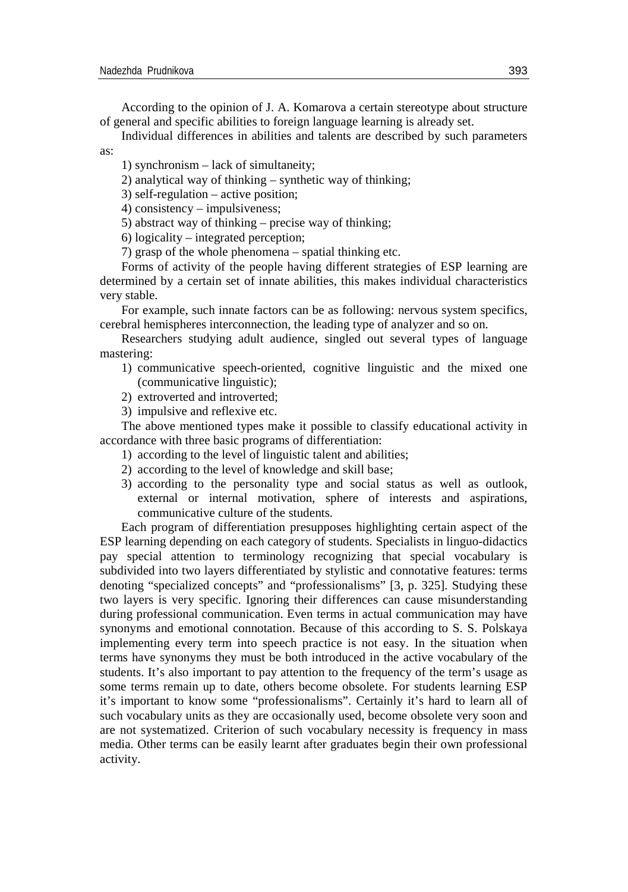According to the opinion of J. A. Komarova a certain stereotype about structure of general and specific abilities to foreign language learning is already set.

Individual differences in abilities and talents are described by such parameters

as:

1) synchronism – lack of simultaneity;

2) analytical way of thinking – synthetic way of thinking;

3) self-regulation – active position;

4) consistency – impulsiveness;

5) abstract way of thinking – precise way of thinking;

6) logicality – integrated perception;

7) grasp of the whole phenomena – spatial thinking etc.

Forms of activity of the people having different strategies of ESP learning are determined by a certain set of innate abilities, this makes individual characteristics very stable.

For example, such innate factors can be as following: nervous system specifics, cerebral hemispheres interconnection, the leading type of analyzer and so on.

Researchers studying adult audience, singled out several types of language mastering:

- 1) communicative speech-oriented, cognitive linguistic and the mixed one (communicative linguistic);
- 2) extroverted and introverted;
- 3) impulsive and reflexive etc.

The above mentioned types make it possible to classify educational activity in accordance with three basic programs of differentiation:

- 1) according to the level of linguistic talent and abilities;
- 2) according to the level of knowledge and skill base;
- 3) according to the personality type and social status as well as outlook, external or internal motivation, sphere of interests and aspirations, communicative culture of the students.

Each program of differentiation presupposes highlighting certain aspect of the ESP learning depending on each category of students. Specialists in linguo-didactics pay special attention to terminology recognizing that special vocabulary is subdivided into two layers differentiated by stylistic and connotative features: terms denoting "specialized concepts" and "professionalisms" [3, p. 325]. Studying these two layers is very specific. Ignoring their differences can cause misunderstanding during professional communication. Even terms in actual communication may have synonyms and emotional connotation. Because of this according to S. S. Polskaya implementing every term into speech practice is not easy. In the situation when terms have synonyms they must be both introduced in the active vocabulary of the students. It's also important to pay attention to the frequency of the term's usage as some terms remain up to date, others become obsolete. For students learning ESP it's important to know some "professionalisms". Certainly it's hard to learn all of such vocabulary units as they are occasionally used, become obsolete very soon and are not systematized. Criterion of such vocabulary necessity is frequency in mass media. Other terms can be easily learnt after graduates begin their own professional activity.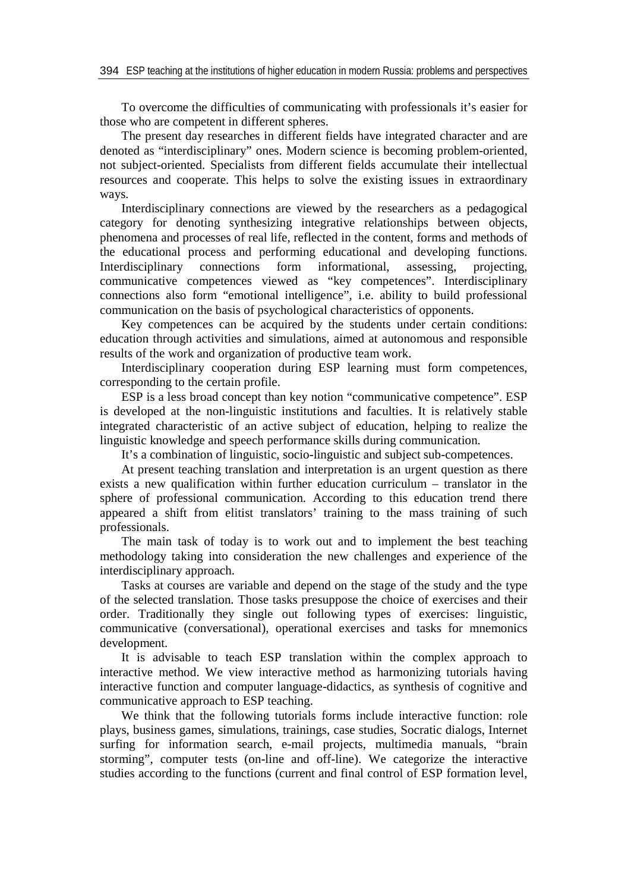To overcome the difficulties of communicating with professionals it's easier for those who are competent in different spheres.

The present day researches in different fields have integrated character and are denoted as "interdisciplinary" ones. Modern science is becoming problem-oriented, not subject-oriented. Specialists from different fields accumulate their intellectual resources and cooperate. This helps to solve the existing issues in extraordinary ways.

Interdisciplinary connections are viewed by the researchers as a pedagogical category for denoting synthesizing integrative relationships between objects, phenomena and processes of real life, reflected in the content, forms and methods of the educational process and performing educational and developing functions. Interdisciplinary connections form informational, assessing, projecting, communicative competences viewed as "key competences". Interdisciplinary connections also form "emotional intelligence", i.e. ability to build professional communication on the basis of psychological characteristics of opponents.

Key competences can be acquired by the students under certain conditions: education through activities and simulations, aimed at autonomous and responsible results of the work and organization of productive team work.

Interdisciplinary cooperation during ESP learning must form competences, corresponding to the certain profile.

ESP is a less broad concept than key notion "communicative competence". ESP is developed at the non-linguistic institutions and faculties. It is relatively stable integrated characteristic of an active subject of education, helping to realize the linguistic knowledge and speech performance skills during communication.

It's a combination of linguistic, socio-linguistic and subject sub-competences.

At present teaching translation and interpretation is an urgent question as there exists a new qualification within further education curriculum – translator in the sphere of professional communication. According to this education trend there appeared a shift from elitist translators' training to the mass training of such professionals.

The main task of today is to work out and to implement the best teaching methodology taking into consideration the new challenges and experience of the interdisciplinary approach.

Tasks at courses are variable and depend on the stage of the study and the type of the selected translation. Those tasks presuppose the choice of exercises and their order. Traditionally they single out following types of exercises: linguistic, communicative (conversational), operational exercises and tasks for mnemonics development.

It is advisable to teach ESP translation within the complex approach to interactive method. We view interactive method as harmonizing tutorials having interactive function and computer language-didactics, as synthesis of cognitive and communicative approach to ESP teaching.

We think that the following tutorials forms include interactive function: role plays, business games, simulations, trainings, case studies, Socratic dialogs, Internet surfing for information search, e-mail projects, multimedia manuals, "brain storming", computer tests (on-line and off-line). We categorize the interactive studies according to the functions (current and final control of ESP formation level,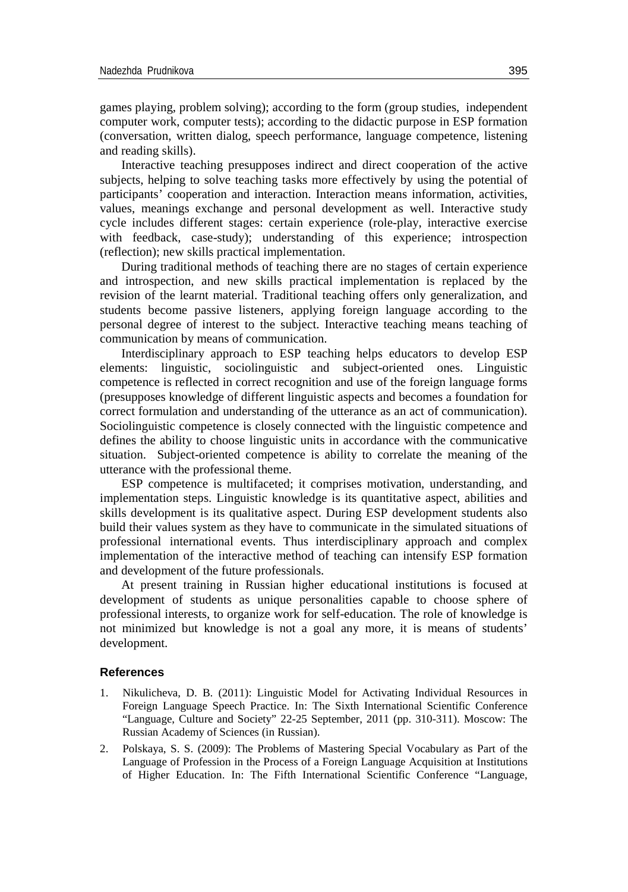games playing, problem solving); according to the form (group studies, independent computer work, computer tests); according to the didactic purpose in ESP formation (conversation, written dialog, speech performance, language competence, listening and reading skills).

Interactive teaching presupposes indirect and direct cooperation of the active subjects, helping to solve teaching tasks more effectively by using the potential of participants' cooperation and interaction. Interaction means information, activities, values, meanings exchange and personal development as well. Interactive study cycle includes different stages: certain experience (role-play, interactive exercise with feedback, case-study); understanding of this experience; introspection (reflection); new skills practical implementation.

During traditional methods of teaching there are no stages of certain experience and introspection, and new skills practical implementation is replaced by the revision of the learnt material. Traditional teaching offers only generalization, and students become passive listeners, applying foreign language according to the personal degree of interest to the subject. Interactive teaching means teaching of communication by means of communication.

Interdisciplinary approach to ESP teaching helps educators to develop ESP elements: linguistic, sociolinguistic and subject-oriented ones. Linguistic competence is reflected in correct recognition and use of the foreign language forms (presupposes knowledge of different linguistic aspects and becomes a foundation for correct formulation and understanding of the utterance as an act of communication). Sociolinguistic competence is closely connected with the linguistic competence and defines the ability to choose linguistic units in accordance with the communicative situation. Subject-oriented competence is ability to correlate the meaning of the utterance with the professional theme.

ESP competence is multifaceted; it comprises motivation, understanding, and implementation steps. Linguistic knowledge is its quantitative aspect, abilities and skills development is its qualitative aspect. During ESP development students also build their values system as they have to communicate in the simulated situations of professional international events. Thus interdisciplinary approach and complex implementation of the interactive method of teaching can intensify ESP formation and development of the future professionals.

At present training in Russian higher educational institutions is focused at development of students as unique personalities capable to choose sphere of professional interests, to organize work for self-education. The role of knowledge is not minimized but knowledge is not a goal any more, it is means of students' development.

## **References**

- 1. Nikulicheva, D. B. (2011): Linguistic Model for Activating Individual Resources in Foreign Language Speech Practice. In: The Sixth International Scientific Conference "Language, Culture and Society" 22-25 September, 2011 (pp. 310-311). Moscow: The Russian Academy of Sciences (in Russian).
- 2. Polskaya, S. S. (2009): The Problems of Mastering Special Vocabulary as Part of the Language of Profession in the Process of a Foreign Language Acquisition at Institutions of Higher Education. In: The Fifth International Scientific Conference "Language,